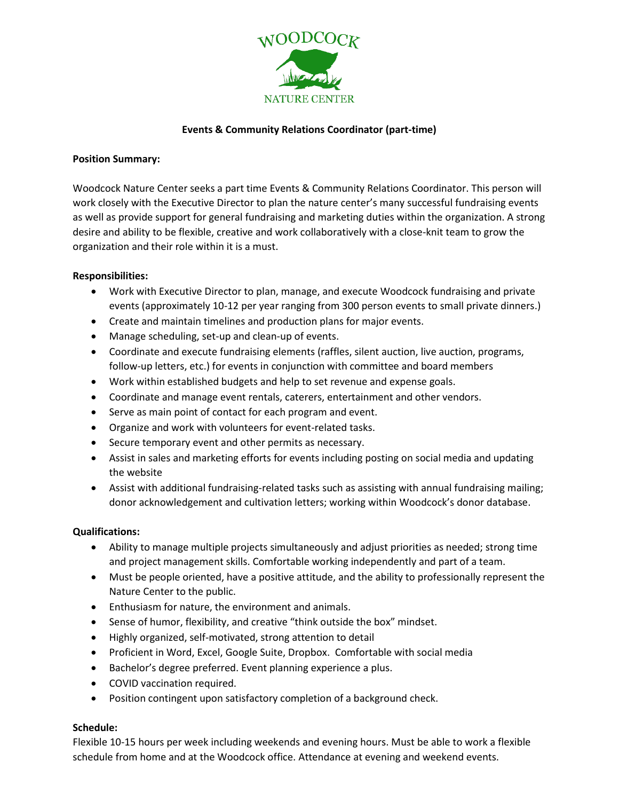

# **Events & Community Relations Coordinator (part-time)**

## **Position Summary:**

Woodcock Nature Center seeks a part time Events & Community Relations Coordinator. This person will work closely with the Executive Director to plan the nature center's many successful fundraising events as well as provide support for general fundraising and marketing duties within the organization. A strong desire and ability to be flexible, creative and work collaboratively with a close-knit team to grow the organization and their role within it is a must.

## **Responsibilities:**

- Work with Executive Director to plan, manage, and execute Woodcock fundraising and private events (approximately 10-12 per year ranging from 300 person events to small private dinners.)
- Create and maintain timelines and production plans for major events.
- Manage scheduling, set-up and clean-up of events.
- Coordinate and execute fundraising elements (raffles, silent auction, live auction, programs, follow-up letters, etc.) for events in conjunction with committee and board members
- Work within established budgets and help to set revenue and expense goals.
- Coordinate and manage event rentals, caterers, entertainment and other vendors.
- Serve as main point of contact for each program and event.
- Organize and work with volunteers for event-related tasks.
- Secure temporary event and other permits as necessary.
- Assist in sales and marketing efforts for events including posting on social media and updating the website
- Assist with additional fundraising-related tasks such as assisting with annual fundraising mailing; donor acknowledgement and cultivation letters; working within Woodcock's donor database.

## **Qualifications:**

- Ability to manage multiple projects simultaneously and adjust priorities as needed; strong time and project management skills. Comfortable working independently and part of a team.
- Must be people oriented, have a positive attitude, and the ability to professionally represent the Nature Center to the public.
- Enthusiasm for nature, the environment and animals.
- Sense of humor, flexibility, and creative "think outside the box" mindset.
- Highly organized, self-motivated, strong attention to detail
- Proficient in Word, Excel, Google Suite, Dropbox. Comfortable with social media
- Bachelor's degree preferred. Event planning experience a plus.
- COVID vaccination required.
- Position contingent upon satisfactory completion of a background check.

## **Schedule:**

Flexible 10-15 hours per week including weekends and evening hours. Must be able to work a flexible schedule from home and at the Woodcock office. Attendance at evening and weekend events.